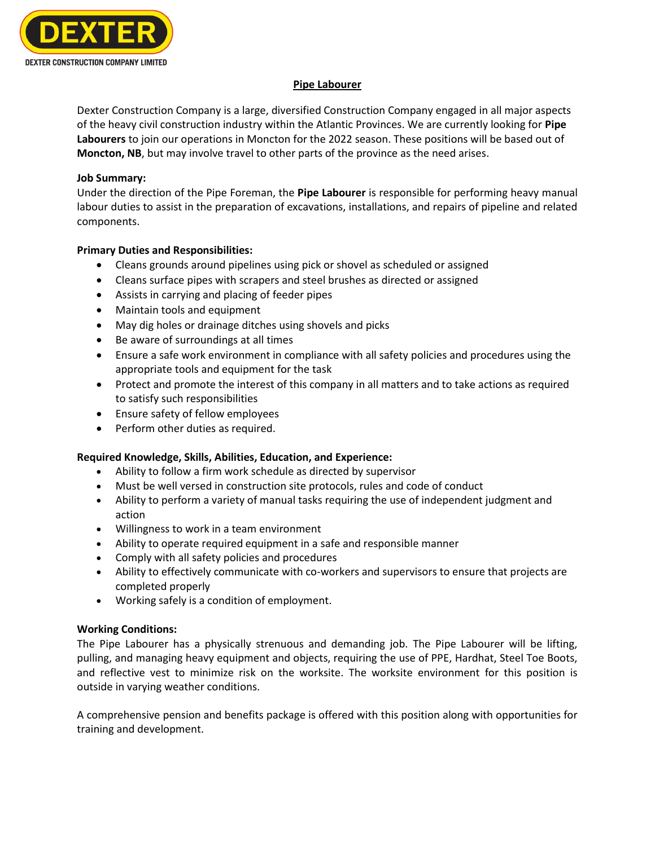

### **Pipe Labourer**

Dexter Construction Company is a large, diversified Construction Company engaged in all major aspects of the heavy civil construction industry within the Atlantic Provinces. We are currently looking for **Pipe Labourers** to join our operations in Moncton for the 2022 season. These positions will be based out of **Moncton, NB**, but may involve travel to other parts of the province as the need arises.

### **Job Summary:**

Under the direction of the Pipe Foreman, the **Pipe Labourer** is responsible for performing heavy manual labour duties to assist in the preparation of excavations, installations, and repairs of pipeline and related components.

# **Primary Duties and Responsibilities:**

- Cleans grounds around pipelines using pick or shovel as scheduled or assigned
- Cleans surface pipes with scrapers and steel brushes as directed or assigned
- Assists in carrying and placing of feeder pipes
- Maintain tools and equipment
- May dig holes or drainage ditches using shovels and picks
- Be aware of surroundings at all times
- Ensure a safe work environment in compliance with all safety policies and procedures using the appropriate tools and equipment for the task
- Protect and promote the interest of this company in all matters and to take actions as required to satisfy such responsibilities
- Ensure safety of fellow employees
- Perform other duties as required.

# **Required Knowledge, Skills, Abilities, Education, and Experience:**

- Ability to follow a firm work schedule as directed by supervisor
- Must be well versed in construction site protocols, rules and code of conduct
- Ability to perform a variety of manual tasks requiring the use of independent judgment and action
- Willingness to work in a team environment
- Ability to operate required equipment in a safe and responsible manner
- Comply with all safety policies and procedures
- Ability to effectively communicate with co-workers and supervisors to ensure that projects are completed properly
- Working safely is a condition of employment.

# **Working Conditions:**

The Pipe Labourer has a physically strenuous and demanding job. The Pipe Labourer will be lifting, pulling, and managing heavy equipment and objects, requiring the use of PPE, Hardhat, Steel Toe Boots, and reflective vest to minimize risk on the worksite. The worksite environment for this position is outside in varying weather conditions.

A comprehensive pension and benefits package is offered with this position along with opportunities for training and development.